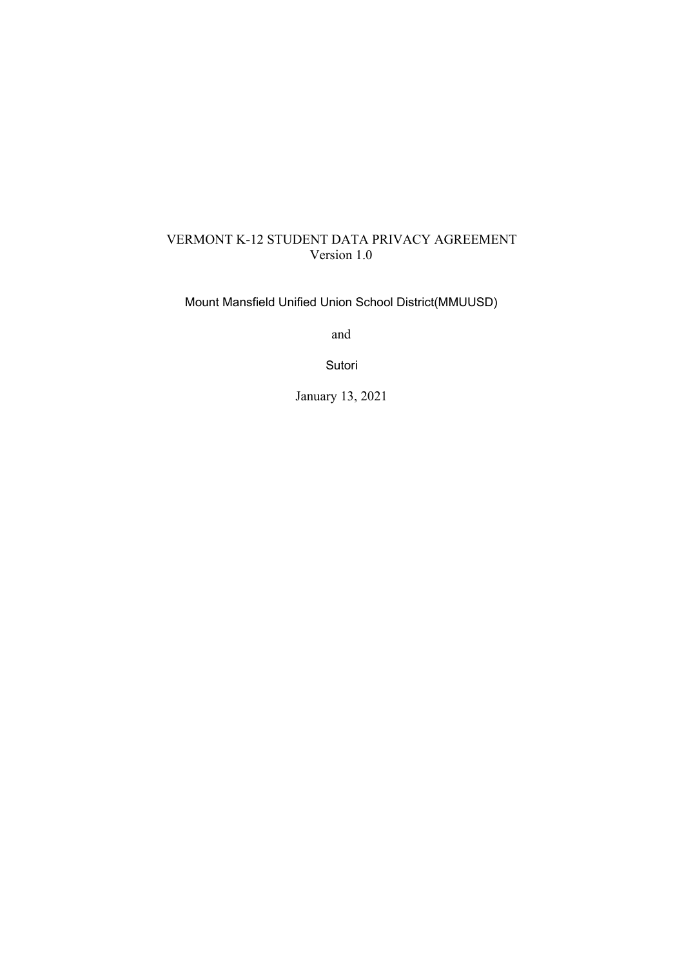# VERMONT K-12 STUDENT DATA PRIVACY AGREEMENT Version 1.0

Mount Mansfield Unified Union School District(MMUUSD)

and

Sutori

January 13, 2021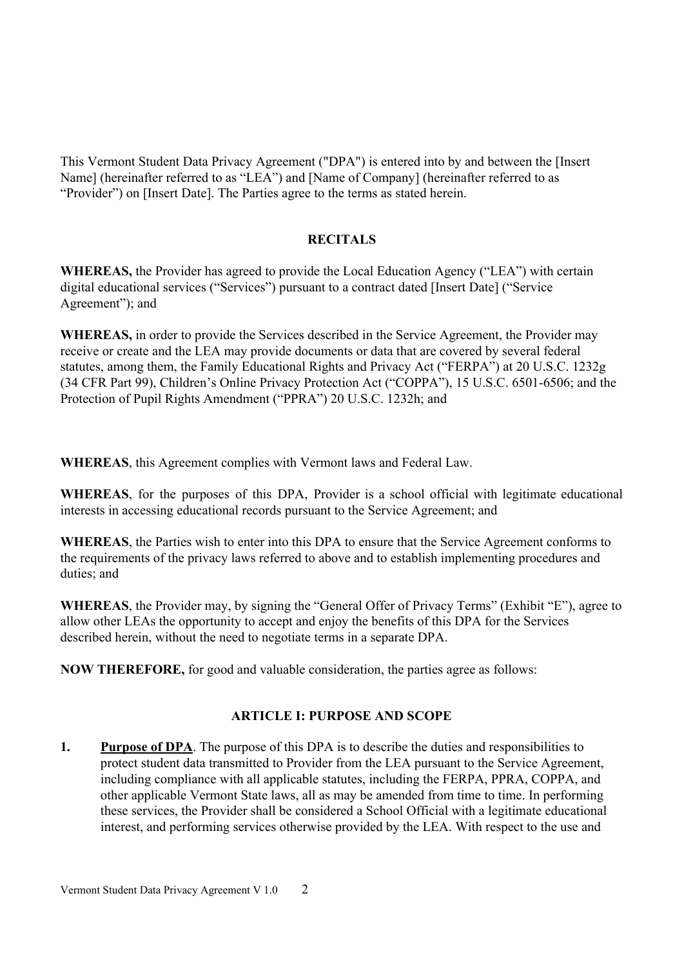This Vermont Student Data Privacy Agreement ("DPA") is entered into by and between the [Insert Name] (hereinafter referred to as "LEA") and [Name of Company] (hereinafter referred to as "Provider") on [Insert Date]. The Parties agree to the terms as stated herein.

### **RECITALS**

**WHEREAS,** the Provider has agreed to provide the Local Education Agency ("LEA") with certain digital educational services ("Services") pursuant to a contract dated [Insert Date] ("Service Agreement"); and

**WHEREAS,** in order to provide the Services described in the Service Agreement, the Provider may receive or create and the LEA may provide documents or data that are covered by several federal statutes, among them, the Family Educational Rights and Privacy Act ("FERPA") at 20 U.S.C. 1232g (34 CFR Part 99), Children's Online Privacy Protection Act ("COPPA"), 15 U.S.C. 6501-6506; and the Protection of Pupil Rights Amendment ("PPRA") 20 U.S.C. 1232h; and

**WHEREAS**, this Agreement complies with Vermont laws and Federal Law.

WHEREAS, for the purposes of this DPA, Provider is a school official with legitimate educational interests in accessing educational records pursuant to the Service Agreement; and

WHEREAS, the Parties wish to enter into this DPA to ensure that the Service Agreement conforms to the requirements of the privacy laws referred to above and to establish implementing procedures and duties: and

**WHEREAS**, the Provider may, by signing the "General Offer of Privacy Terms" (Exhibit "E"), agree to allow other LEAs the opportunity to accept and enjoy the benefits of this DPA for the Services described herein, without the need to negotiate terms in a separate DPA.

**NOW THEREFORE,** for good and valuable consideration, the parties agree as follows:

### **ARTICLE I: PURPOSE AND SCOPE**

1. **Purpose of DPA**. The purpose of this DPA is to describe the duties and responsibilities to protect student data transmitted to Provider from the LEA pursuant to the Service Agreement, including compliance with all applicable statutes, including the FERPA, PPRA, COPPA, and other applicable Vermont State laws, all as may be amended from time to time. In performing these services, the Provider shall be considered a School Official with a legitimate educational interest, and performing services otherwise provided by the LEA. With respect to the use and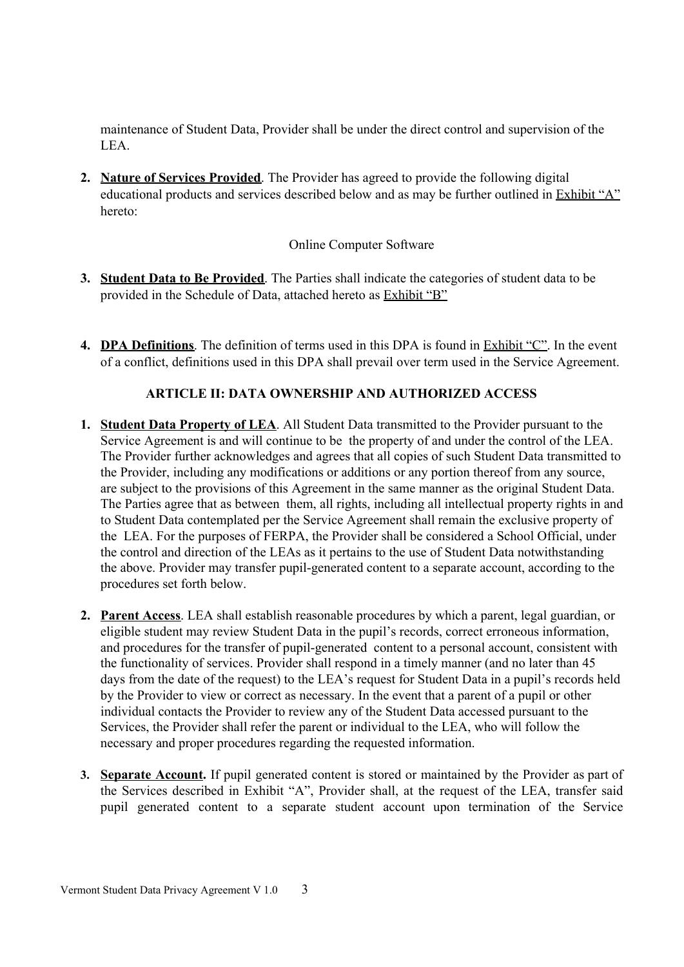maintenance of Student Data, Provider shall be under the direct control and supervision of the LEA.

2. Nature of Services Provided. The Provider has agreed to provide the following digital educational products and services described below and as may be further outlined in Exhibit "A" hereto<sup>-</sup>

### **Online Computer Software**

- 3. Student Data to Be Provided. The Parties shall indicate the categories of student data to be provided in the Schedule of Data, attached hereto as Exhibit "B"
- 4. DPA Definitions. The definition of terms used in this DPA is found in Exhibit " $C$ ". In the event of a conflict, definitions used in this DPA shall prevail over term used in the Service Agreement.

## **ARTICLE II: DATA OWNERSHIP AND AUTHORIZED ACCESS**

- 1. Student Data Property of LEA. All Student Data transmitted to the Provider pursuant to the Service Agreement is and will continue to be the property of and under the control of the LEA. The Provider further acknowledges and agrees that all copies of such Student Data transmitted to the Provider, including any modifications or additions or any portion thereof from any source, are subject to the provisions of this Agreement in the same manner as the original Student Data. The Parties agree that as between them, all rights, including all intellectual property rights in and to Student Data contemplated per the Service Agreement shall remain the exclusive property of the LEA. For the purposes of FERPA, the Provider shall be considered a School Official, under the control and direction of the LEAs as it pertains to the use of Student Data notwithstanding the above. Provider may transfer pupil-generated content to a separate account, according to the procedures set forth below.
- 2. Parent Access. LEA shall establish reasonable procedures by which a parent, legal guardian, or eligible student may review Student Data in the pupil's records, correct erroneous information, and procedures for the transfer of pupil-generated content to a personal account, consistent with the functionality of services. Provider shall respond in a timely manner (and no later than 45 days from the date of the request) to the LEA's request for Student Data in a pupil's records held by the Provider to view or correct as necessary. In the event that a parent of a pupil or other individual contacts the Provider to review any of the Student Data accessed pursuant to the Services, the Provider shall refer the parent or individual to the LEA, who will follow the necessary and proper procedures regarding the requested information.
- 3. Separate Account. If pupil generated content is stored or maintained by the Provider as part of the Services described in Exhibit "A", Provider shall, at the request of the LEA, transfer said pupil generated content to a separate student account upon termination of the Service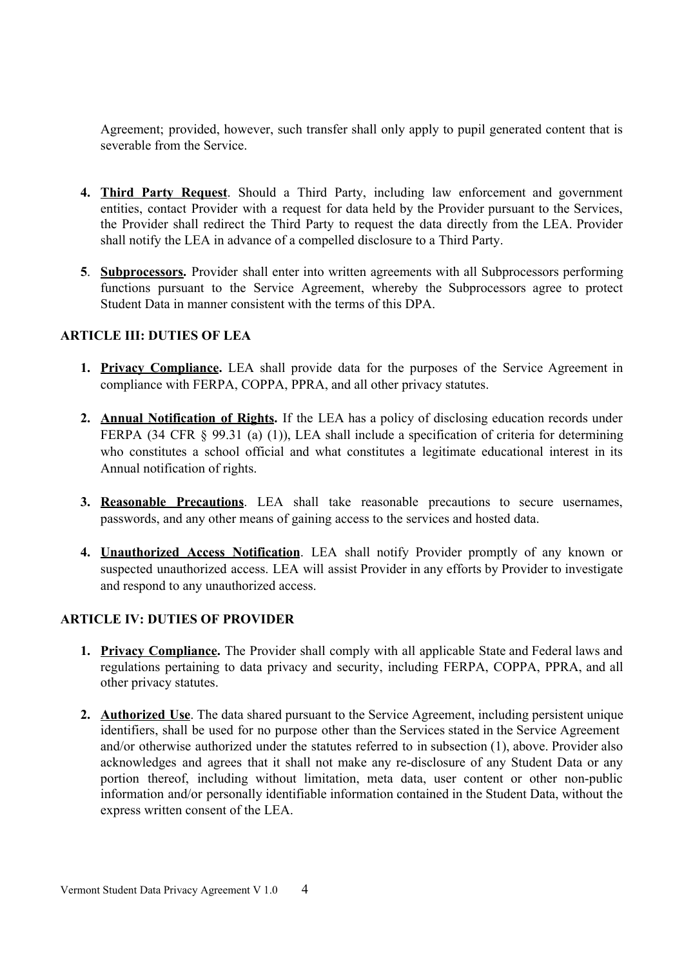Agreement; provided, however, such transfer shall only apply to pupil generated content that is severable from the Service.

- 4. Third Party Request. Should a Third Party, including law enforcement and government entities, contact Provider with a request for data held by the Provider pursuant to the Services, the Provider shall redirect the Third Party to request the data directly from the LEA. Provider shall notify the LEA in advance of a compelled disclosure to a Third Party.
- 5. Subprocessors. Provider shall enter into written agreements with all Subprocessors performing functions pursuant to the Service Agreement, whereby the Subprocessors agree to protect Student Data in manner consistent with the terms of this DPA

### **ARTICLE III: DUTIES OF LEA**

- 1. Privacy Compliance. LEA shall provide data for the purposes of the Service Agreement in compliance with FERPA, COPPA, PPRA, and all other privacy statutes.
- 2. Annual Notification of Rights. If the LEA has a policy of disclosing education records under FERPA (34 CFR  $\S$  99.31 (a) (1)), LEA shall include a specification of criteria for determining who constitutes a school official and what constitutes a legitimate educational interest in its Annual notification of rights.
- 3. Reasonable Precautions. LEA shall take reasonable precautions to secure usernames, passwords, and any other means of gaining access to the services and hosted data.
- 4. Unauthorized Access Notification. LEA shall notify Provider promptly of any known or suspected unauthorized access. LEA will assist Provider in any efforts by Provider to investigate and respond to any unauthorized access.

### **ARTICLE IV: DUTIES OF PROVIDER**

- **1. Privacy Compliance.** The Provider shall comply with all applicable State and Federal laws and regulations pertaining to data privacy and security, including FERPA, COPPA, PPRA, and all other privacy statutes.
- 2. Authorized Use. The data shared pursuant to the Service Agreement, including persistent unique identifiers, shall be used for no purpose other than the Services stated in the Service Agreement and/or otherwise authorized under the statutes referred to in subsection (1), above. Provider also acknowledges and agrees that it shall not make any re-disclosure of any Student Data or any portion thereof, including without limitation, meta data, user content or other non-public information and/or personally identifiable information contained in the Student Data, without the express written consent of the LEA.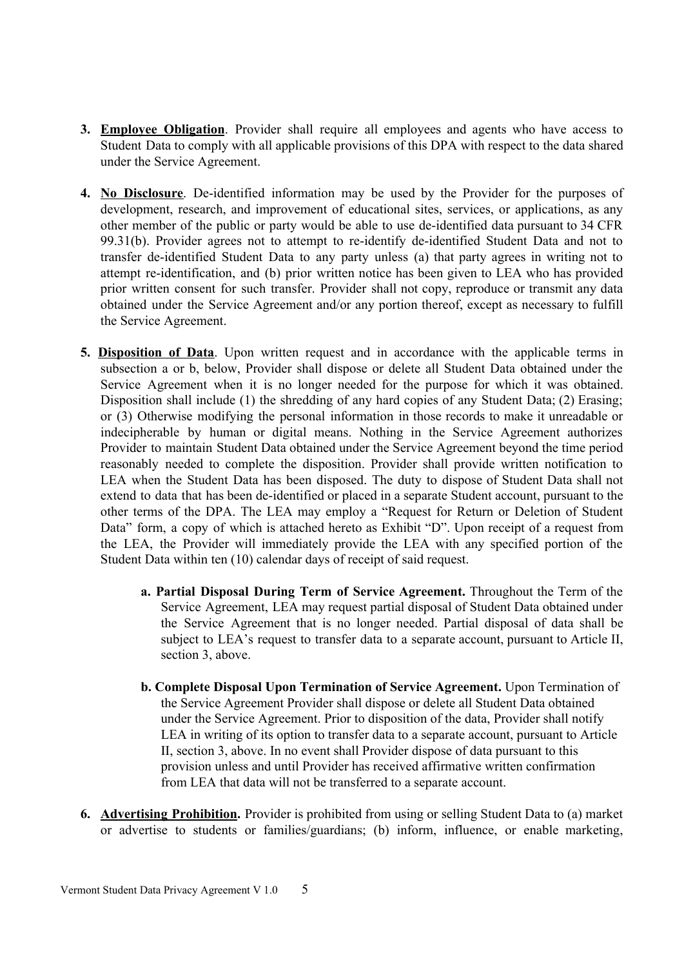- 3. Employee Obligation. Provider shall require all employees and agents who have access to Student Data to comply with all applicable provisions of this DPA with respect to the data shared under the Service Agreement.
- 4. No Disclosure. De-identified information may be used by the Provider for the purposes of development, research, and improvement of educational sites, services, or applications, as any other member of the public or party would be able to use de-identified data pursuant to 34 CFR 99.31(b). Provider agrees not to attempt to re-identify de-identified Student Data and not to transfer de-identified Student Data to any party unless (a) that party agrees in writing not to attempt re-identification, and (b) prior written notice has been given to LEA who has provided prior written consent for such transfer. Provider shall not copy, reproduce or transmit any data obtained under the Service Agreement and/or any portion thereof, except as necessary to fulfill the Service Agreement.
- 5. Disposition of Data. Upon written request and in accordance with the applicable terms in subsection a or b, below, Provider shall dispose or delete all Student Data obtained under the Service Agreement when it is no longer needed for the purpose for which it was obtained. Disposition shall include (1) the shredding of any hard copies of any Student Data; (2) Erasing; or (3) Otherwise modifying the personal information in those records to make it unreadable or indecipherable by human or digital means. Nothing in the Service Agreement authorizes Provider to maintain Student Data obtained under the Service Agreement beyond the time period reasonably needed to complete the disposition. Provider shall provide written notification to LEA when the Student Data has been disposed. The duty to dispose of Student Data shall not extend to data that has been de-identified or placed in a separate Student account, pursuant to the other terms of the DPA. The LEA may employ a "Request for Return or Deletion of Student Data" form, a copy of which is attached hereto as Exhibit "D". Upon receipt of a request from the LEA, the Provider will immediately provide the LEA with any specified portion of the Student Data within ten (10) calendar days of receipt of said request.
	- a. Partial Disposal During Term of Service Agreement. Throughout the Term of the Service Agreement, LEA may request partial disposal of Student Data obtained under the Service Agreement that is no longer needed. Partial disposal of data shall be subject to LEA's request to transfer data to a separate account, pursuant to Article II, section 3, above.
	- b. Complete Disposal Upon Termination of Service Agreement. Upon Termination of the Service Agreement Provider shall dispose or delete all Student Data obtained under the Service Agreement. Prior to disposition of the data, Provider shall notify LEA in writing of its option to transfer data to a separate account, pursuant to Article II, section 3, above. In no event shall Provider dispose of data pursuant to this provision unless and until Provider has received affirmative written confirmation from LEA that data will not be transferred to a separate account.
- 6. Advertising Prohibition. Provider is prohibited from using or selling Student Data to (a) market or advertise to students or families/guardians; (b) inform, influence, or enable marketing,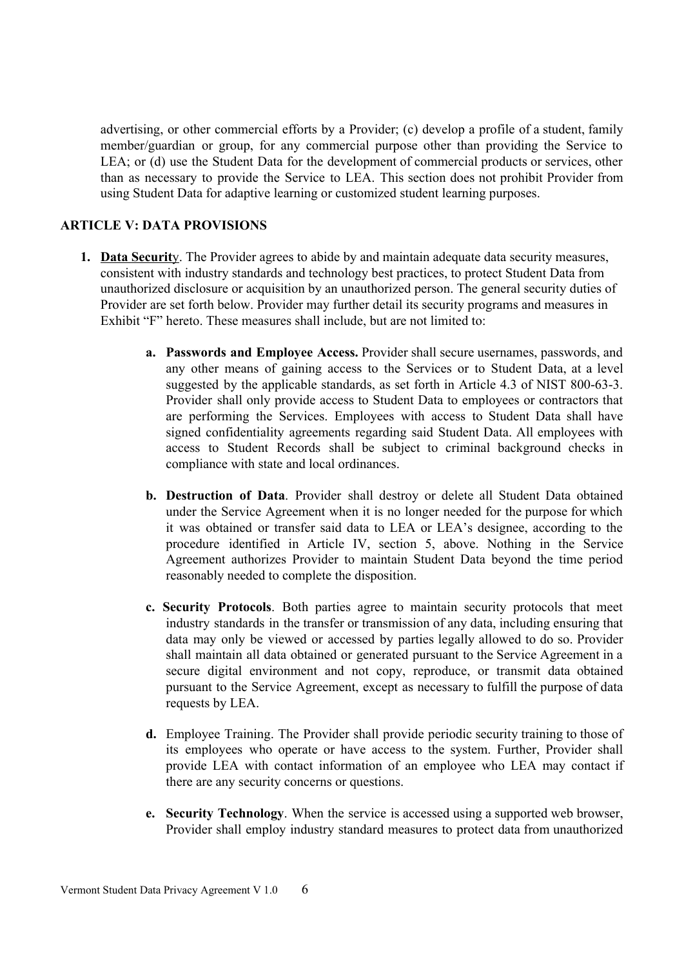advertising, or other commercial efforts by a Provider; (c) develop a profile of a student, family member/guardian or group, for any commercial purpose other than providing the Service to LEA; or (d) use the Student Data for the development of commercial products or services, other than as necessary to provide the Service to LEA. This section does not prohibit Provider from using Student Data for adaptive learning or customized student learning purposes.

### **ARTICLE V: DATA PROVISIONS**

- 1. Data Security. The Provider agrees to abide by and maintain adequate data security measures, consistent with industry standards and technology best practices, to protect Student Data from unauthorized disclosure or acquisition by an unauthorized person. The general security duties of Provider are set forth below. Provider may further detail its security programs and measures in Exhibit "F" hereto. These measures shall include, but are not limited to:
	- **a.** Passwords and Employee Access. Provider shall secure usernames, passwords, and any other means of gaining access to the Services or to Student Data, at a level suggested by the applicable standards, as set forth in Article 4.3 of NIST 800-63-3. Provider shall only provide access to Student Data to employees or contractors that are performing the Services. Employees with access to Student Data shall have signed confidentiality agreements regarding said Student Data. All employees with access to Student Records shall be subject to criminal background checks in compliance with state and local ordinances.
	- b. Destruction of Data. Provider shall destroy or delete all Student Data obtained under the Service Agreement when it is no longer needed for the purpose for which it was obtained or transfer said data to LEA or LEA's designee, according to the procedure identified in Article IV, section 5, above. Nothing in the Service Agreement authorizes Provider to maintain Student Data beyond the time period reasonably needed to complete the disposition.
	- c. Security Protocols. Both parties agree to maintain security protocols that meet industry standards in the transfer or transmission of any data, including ensuring that data may only be viewed or accessed by parties legally allowed to do so. Provider shall maintain all data obtained or generated pursuant to the Service Agreement in a secure digital environment and not copy, reproduce, or transmit data obtained pursuant to the Service Agreement, except as necessary to fulfill the purpose of data requests by LEA.
	- d. Employee Training. The Provider shall provide periodic security training to those of its employees who operate or have access to the system. Further, Provider shall provide LEA with contact information of an employee who LEA may contact if there are any security concerns or questions.
	- e. Security Technology. When the service is accessed using a supported web browser, Provider shall employ industry standard measures to protect data from unauthorized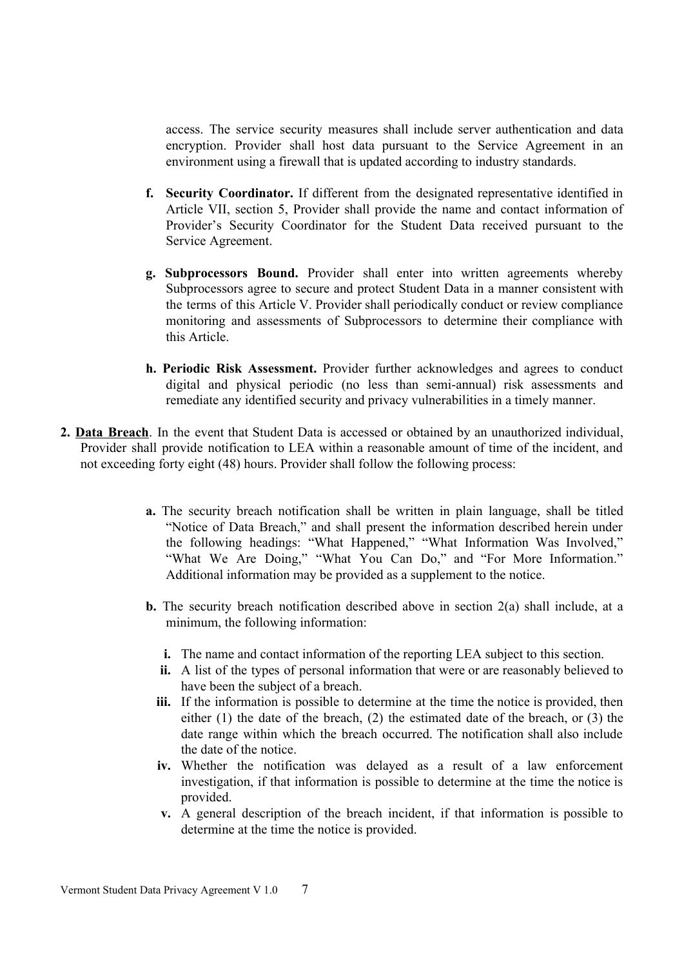access. The service security measures shall include server authentication and data encryption. Provider shall host data pursuant to the Service Agreement in an environment using a firewall that is updated according to industry standards.

- f. Security Coordinator. If different from the designated representative identified in Article VII, section 5, Provider shall provide the name and contact information of Provider's Security Coordinator for the Student Data received pursuant to the Service Agreement.
- g. Subprocessors Bound. Provider shall enter into written agreements whereby Subprocessors agree to secure and protect Student Data in a manner consistent with the terms of this Article V. Provider shall periodically conduct or review compliance monitoring and assessments of Subprocessors to determine their compliance with this Article
- h. Periodic Risk Assessment. Provider further acknowledges and agrees to conduct digital and physical periodic (no less than semi-annual) risk assessments and remediate any identified security and privacy vulnerabilities in a timely manner.
- 2. Data Breach. In the event that Student Data is accessed or obtained by an unauthorized individual, Provider shall provide notification to LEA within a reasonable amount of time of the incident, and not exceeding forty eight (48) hours. Provider shall follow the following process:
	- a. The security breach notification shall be written in plain language, shall be titled "Notice of Data Breach," and shall present the information described herein under the following headings: "What Happened," "What Information Was Involved," "What We Are Doing," "What You Can Do," and "For More Information." Additional information may be provided as a supplement to the notice.
	- **b.** The security breach notification described above in section  $2(a)$  shall include, at a minimum, the following information:
		- **i.** The name and contact information of the reporting LEA subject to this section.
		- **ii.** A list of the types of personal information that were or are reasonably believed to have been the subject of a breach.
		- **iii.** If the information is possible to determine at the time the notice is provided, then either  $(1)$  the date of the breach,  $(2)$  the estimated date of the breach, or  $(3)$  the date range within which the breach occurred. The notification shall also include the date of the notice.
		- iv. Whether the notification was delayed as a result of a law enforcement investigation, if that information is possible to determine at the time the notice is provided.
		- v. A general description of the breach incident, if that information is possible to determine at the time the notice is provided.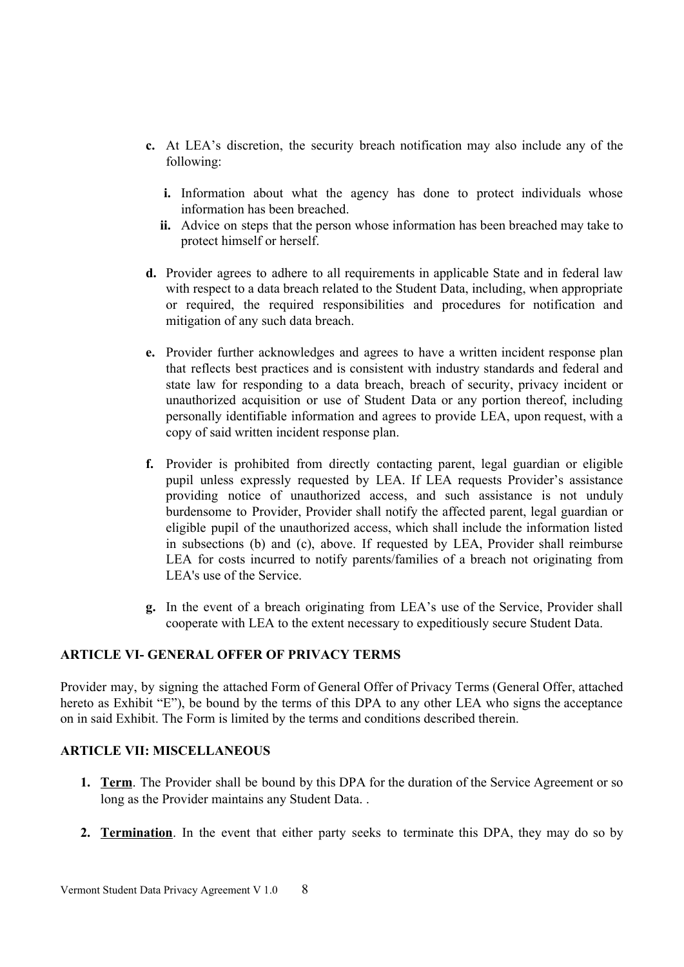- c. At LEA's discretion, the security breach notification may also include any of the following:
	- i. Information about what the agency has done to protect individuals whose information has been breached
	- **ii.** Advice on steps that the person whose information has been breached may take to protect himself or herself.
- **d.** Provider agrees to adhere to all requirements in applicable State and in federal law with respect to a data breach related to the Student Data, including, when appropriate or required, the required responsibilities and procedures for notification and mitigation of any such data breach.
- e. Provider further acknowledges and agrees to have a written incident response plan that reflects best practices and is consistent with industry standards and federal and state law for responding to a data breach, breach of security, privacy incident or unauthorized acquisition or use of Student Data or any portion thereof, including personally identifiable information and agrees to provide LEA, upon request, with a copy of said written incident response plan.
- f. Provider is prohibited from directly contacting parent, legal guardian or eligible pupil unless expressly requested by LEA. If LEA requests Provider's assistance providing notice of unauthorized access, and such assistance is not unduly burdensome to Provider, Provider shall notify the affected parent, legal guardian or eligible pupil of the unauthorized access, which shall include the information listed in subsections (b) and (c), above. If requested by LEA, Provider shall reimburse LEA for costs incurred to notify parents/families of a breach not originating from LEA's use of the Service
- g. In the event of a breach originating from LEA's use of the Service, Provider shall cooperate with LEA to the extent necessary to expeditiously secure Student Data.

### **ARTICLE VI- GENERAL OFFER OF PRIVACY TERMS**

Provider may, by signing the attached Form of General Offer of Privacy Terms (General Offer, attached hereto as Exhibit "E"), be bound by the terms of this DPA to any other LEA who signs the acceptance on in said Exhibit. The Form is limited by the terms and conditions described therein.

### **ARTICLE VII: MISCELLANEOUS**

- **1.** Term. The Provider shall be bound by this DPA for the duration of the Service Agreement or so long as the Provider maintains any Student Data...
- 2. Termination. In the event that either party seeks to terminate this DPA, they may do so by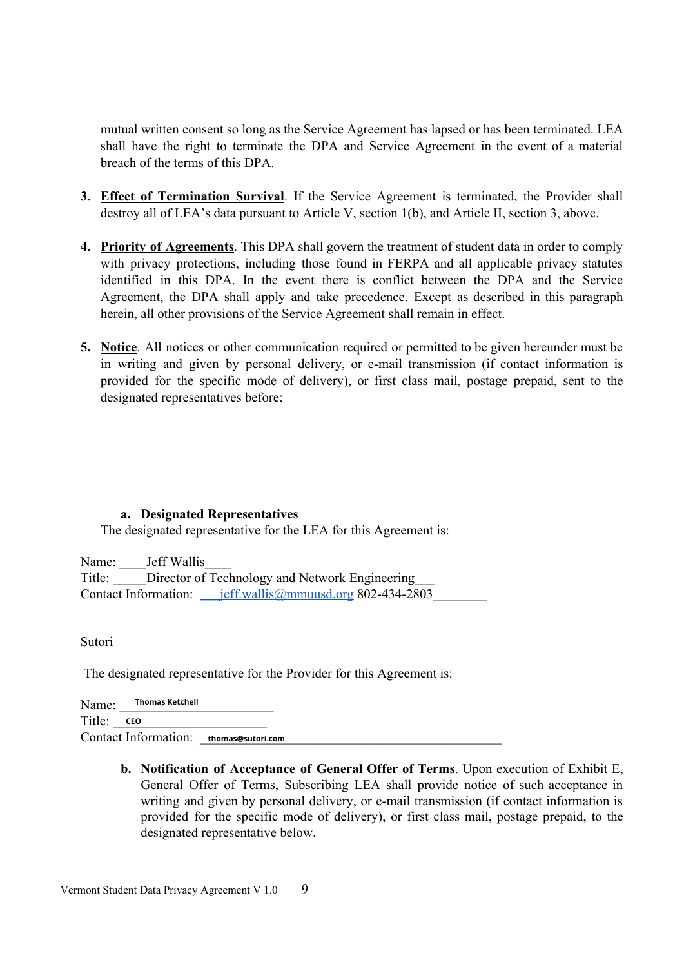mutual written consent so long as the Service Agreement has lapsed or has been terminated. LEA shall have the right to terminate the DPA and Service Agreement in the event of a material breach of the terms of this DPA.

- 3. Effect of Termination Survival. If the Service Agreement is terminated, the Provider shall destroy all of LEA's data pursuant to Article V, section 1(b), and Article II, section 3, above.
- 4. Priority of Agreements. This DPA shall govern the treatment of student data in order to comply with privacy protections, including those found in FERPA and all applicable privacy statutes identified in this DPA. In the event there is conflict between the DPA and the Service Agreement, the DPA shall apply and take precedence. Except as described in this paragraph herein, all other provisions of the Service Agreement shall remain in effect.
- 5. Notice. All notices or other communication required or permitted to be given hereunder must be in writing and given by personal delivery, or e-mail transmission (if contact information is provided for the specific mode of delivery), or first class mail, postage prepaid, sent to the designated representatives before:

### a. Designated Representatives

The designated representative for the LEA for this Agreement is:

Name: Jeff Wallis Title: Director of Technology and Network Engineering 

Sutori

The designated representative for the Provider for this Agreement is:

**Thomas Ketchell** Name: Title: CEO Contact Information: thomas@sutori.com

> b. Notification of Acceptance of General Offer of Terms. Upon execution of Exhibit E, General Offer of Terms, Subscribing LEA shall provide notice of such acceptance in writing and given by personal delivery, or e-mail transmission (if contact information is provided for the specific mode of delivery), or first class mail, postage prepaid, to the designated representative below.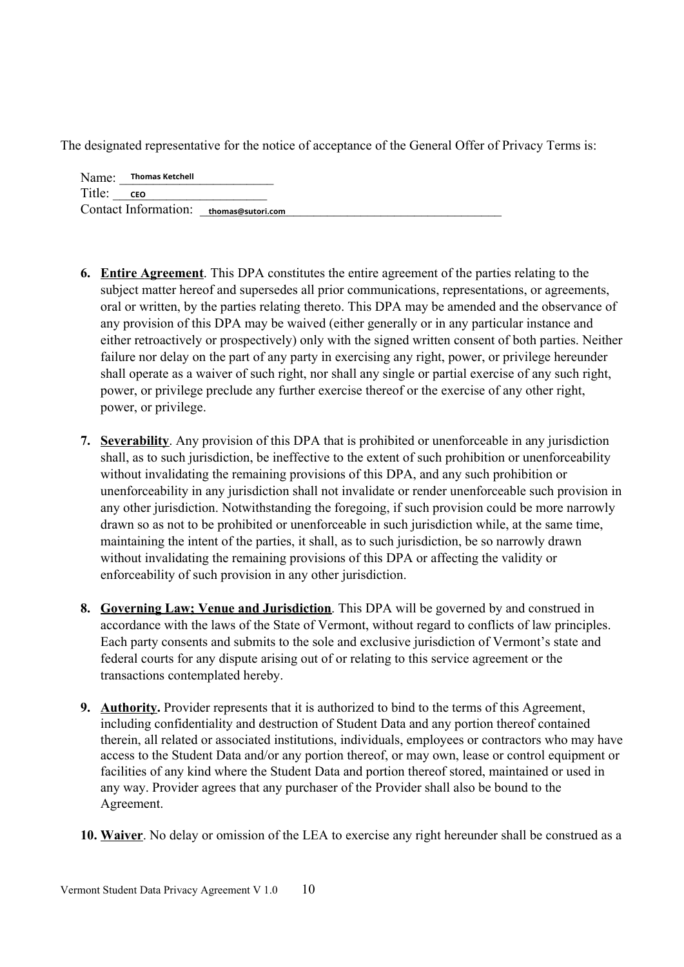The designated representative for the notice of acceptance of the General Offer of Privacy Terms is:

Name: Thomas Ketchell Title: CEO Contact Information: thomas@sutori.com

- **6. Entire Agreement**. This DPA constitutes the entire agreement of the parties relating to the subject matter hereof and supersedes all prior communications, representations, or agreements, oral or written, by the parties relating thereto. This DPA may be amended and the observance of any provision of this DPA may be waived (either generally or in any particular instance and either retroactively or prospectively) only with the signed written consent of both parties. Neither failure nor delay on the part of any party in exercising any right, power, or privilege hereunder shall operate as a waiver of such right, nor shall any single or partial exercise of any such right, power, or privilege preclude any further exercise thereof or the exercise of any other right, power, or privilege.
- 7. Severability. Any provision of this DPA that is prohibited or unenforceable in any jurisdiction shall, as to such jurisdiction, be ineffective to the extent of such prohibition or unenforceability without invalidating the remaining provisions of this DPA, and any such prohibition or unenforceability in any jurisdiction shall not invalidate or render unenforceable such provision in any other jurisdiction. Notwithstanding the foregoing, if such provision could be more narrowly drawn so as not to be prohibited or unenforceable in such jurisdiction while, at the same time, maintaining the intent of the parties, it shall, as to such jurisdiction, be so narrowly drawn without invalidating the remaining provisions of this DPA or affecting the validity or enforceability of such provision in any other jurisdiction.
- 8. Governing Law; Venue and Jurisdiction. This DPA will be governed by and construed in accordance with the laws of the State of Vermont, without regard to conflicts of law principles. Each party consents and submits to the sole and exclusive jurisdiction of Vermont's state and federal courts for any dispute arising out of or relating to this service agreement or the transactions contemplated hereby.
- 9. Authority. Provider represents that it is authorized to bind to the terms of this Agreement, including confidentiality and destruction of Student Data and any portion thereof contained therein, all related or associated institutions, individuals, employees or contractors who may have access to the Student Data and/or any portion thereof, or may own, lease or control equipment or facilities of any kind where the Student Data and portion thereof stored, maintained or used in any way. Provider agrees that any purchaser of the Provider shall also be bound to the Agreement.
- 10. Waiver. No delay or omission of the LEA to exercise any right hereunder shall be construed as a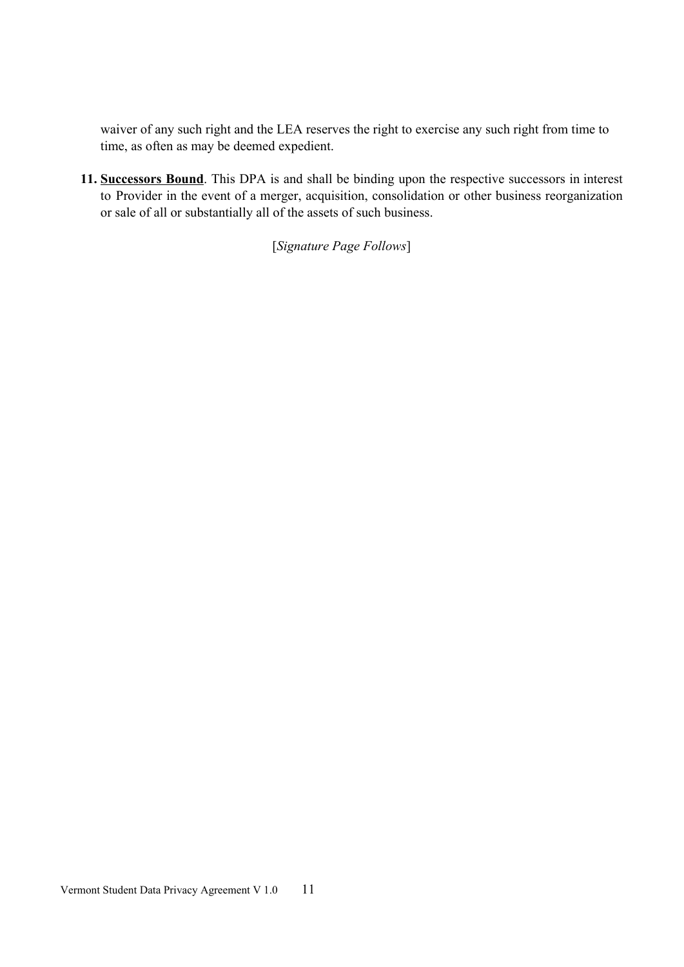waiver of any such right and the LEA reserves the right to exercise any such right from time to time, as often as may be deemed expedient.

11. Successors Bound. This DPA is and shall be binding upon the respective successors in interest to Provider in the event of a merger, acquisition, consolidation or other business reorganization or sale of all or substantially all of the assets of such business.

[Signature Page Follows]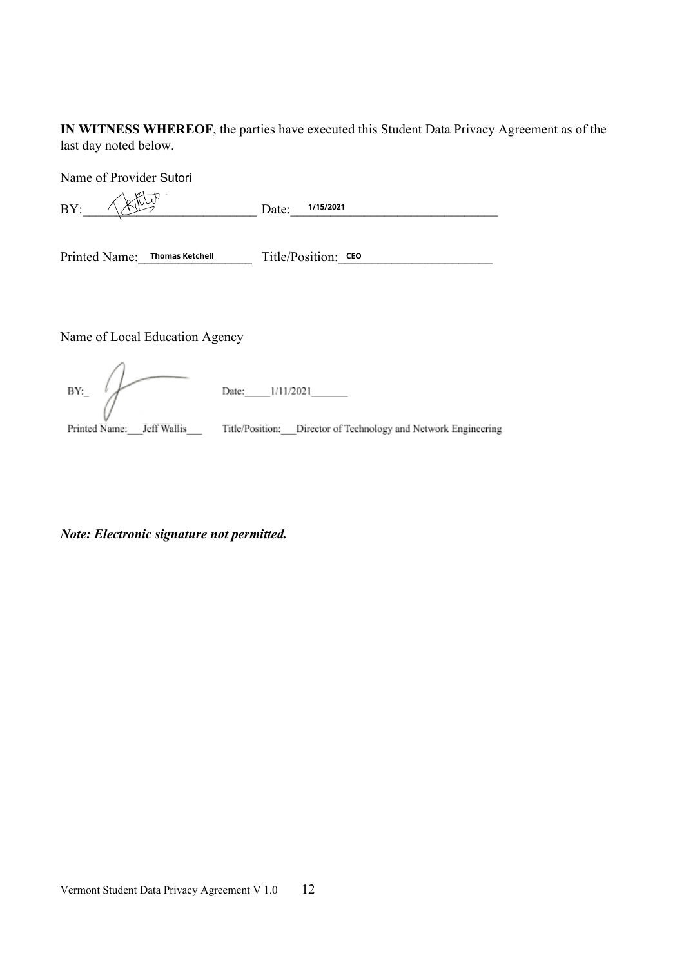IN WITNESS WHEREOF, the parties have executed this Student Data Privacy Agreement as of the last day noted below.

Name of Provider Sutori  $\frac{1}{15/2021}$  Date:  $\frac{1}{15/2021}$  $BY:$ Printed Name: Thomas Ketchell Title/Position: CEO Name of Local Education Agency  $BY:$ 

Printed Name: \_\_ Jeff Wallis \_\_\_\_\_ Title/Position: \_\_ Director of Technology and Network Engineering

Note: Electronic signature not permitted.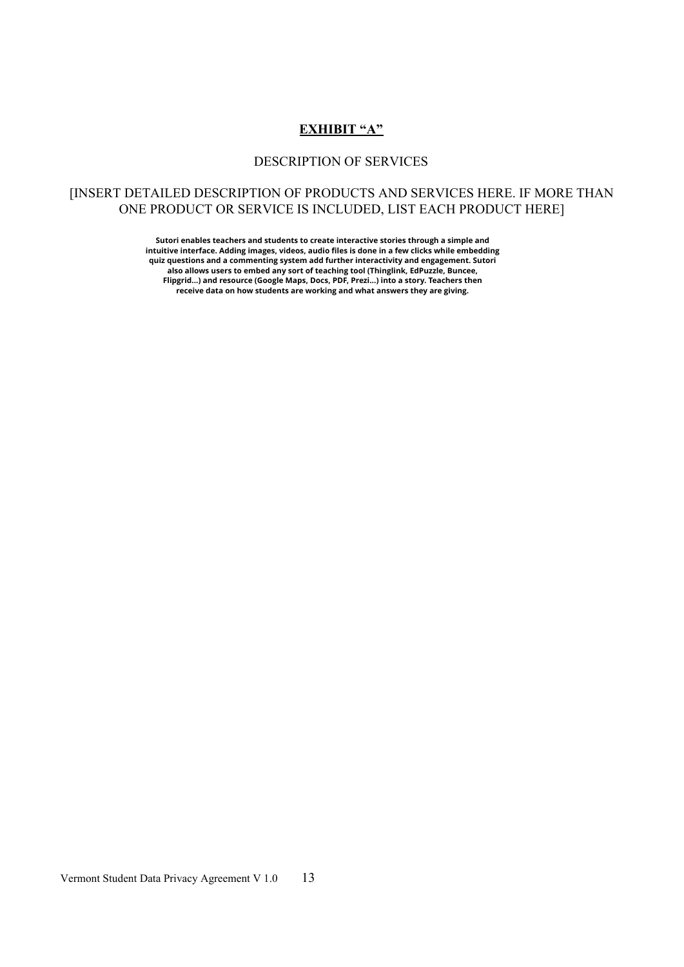### **EXHIBIT "A"**

#### DESCRIPTION OF SERVICES

### [INSERT DETAILED DESCRIPTION OF PRODUCTS AND SERVICES HERE. IF MORE THAN ONE PRODUCT OR SERVICE IS INCLUDED, LIST EACH PRODUCT HERE]

**Sutori enables teachers and students to create interactive stories through a simple and intuitive interface. Adding images, videos, audio files is done in a few clicks while embedding quiz questions and a commenting system add further interactivity and engagement. Sutori also allows users to embed any sort of teaching tool (Thinglink, EdPuzzle, Buncee, Flipgrid...) and resource (Google Maps, Docs, PDF, Prezi...) into a story. Teachers then receive data on how students are working and what answers they are giving.**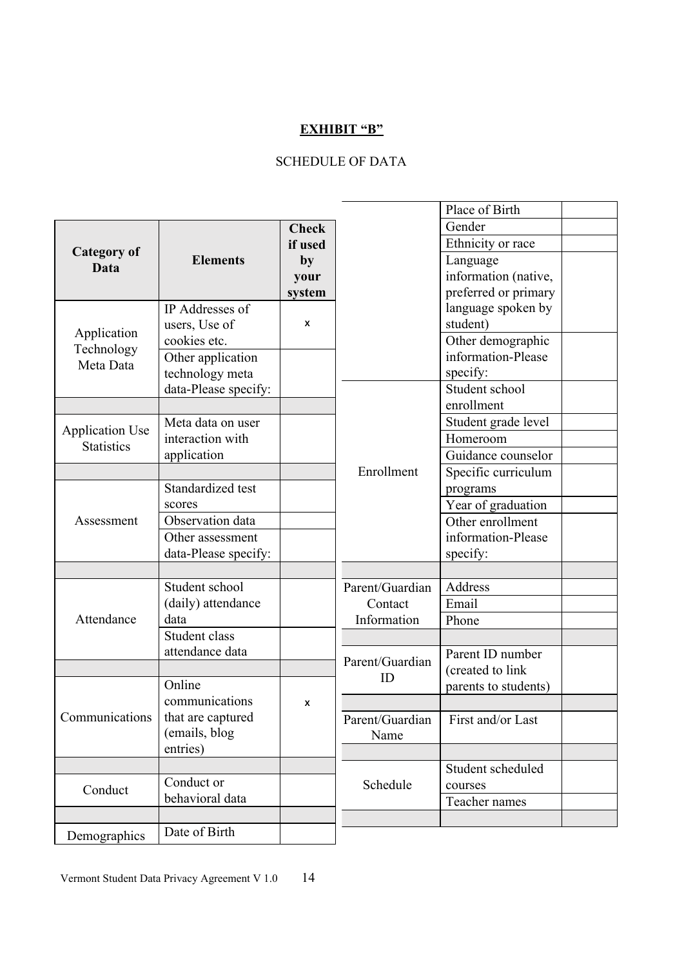### **EXHIBIT "B"**

# **SCHEDULE OF DATA**

|                           |                      |              |                 | Place of Birth       |  |
|---------------------------|----------------------|--------------|-----------------|----------------------|--|
|                           |                      | <b>Check</b> |                 | Gender               |  |
| Category of               |                      | if used      |                 | Ethnicity or race    |  |
| Data                      | <b>Elements</b>      | by           |                 | Language             |  |
|                           |                      | your         |                 | information (native, |  |
|                           |                      | system       |                 | preferred or primary |  |
| Application<br>Technology | IP Addresses of      |              |                 | language spoken by   |  |
|                           | users, Use of        | X            |                 | student)             |  |
|                           | cookies etc.         |              |                 | Other demographic    |  |
| Meta Data                 | Other application    |              |                 | information-Please   |  |
|                           | technology meta      |              |                 | specify:             |  |
|                           | data-Please specify: |              |                 | Student school       |  |
|                           |                      |              |                 | enrollment           |  |
| <b>Application Use</b>    | Meta data on user    |              |                 | Student grade level  |  |
| <b>Statistics</b>         | interaction with     |              |                 | Homeroom             |  |
|                           | application          |              |                 | Guidance counselor   |  |
|                           |                      |              | Enrollment      | Specific curriculum  |  |
|                           | Standardized test    |              |                 | programs             |  |
|                           | scores               |              |                 | Year of graduation   |  |
| Assessment                | Observation data     |              |                 | Other enrollment     |  |
|                           | Other assessment     |              |                 | information-Please   |  |
|                           | data-Please specify: |              |                 | specify:             |  |
|                           |                      |              |                 |                      |  |
|                           | Student school       |              | Parent/Guardian | Address              |  |
|                           | (daily) attendance   |              | Contact         | Email                |  |
| Attendance                | data                 |              | Information     | Phone                |  |
|                           | Student class        |              |                 |                      |  |
|                           | attendance data      |              |                 | Parent ID number     |  |
|                           |                      |              | Parent/Guardian | (created to link     |  |
| Communications            | Online               |              | ID              | parents to students) |  |
|                           | communications       | x            |                 |                      |  |
|                           | that are captured    |              | Parent/Guardian | First and/or Last    |  |
|                           | (emails, blog        |              | Name            |                      |  |
|                           | entries)             |              |                 |                      |  |
|                           |                      |              |                 | Student scheduled    |  |
| Conduct                   | Conduct or           |              | Schedule        | courses              |  |
|                           | behavioral data      |              |                 | Teacher names        |  |
|                           |                      |              |                 |                      |  |
| Demographics              | Date of Birth        |              |                 |                      |  |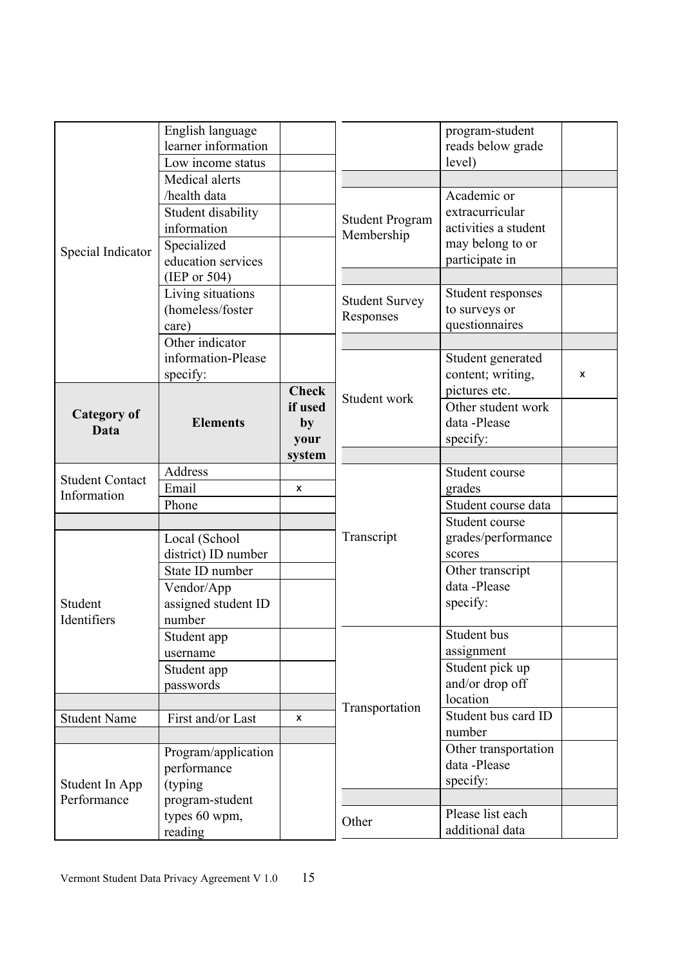|                               | English language<br>learner information<br>Low income status<br>Medical alerts         |                                 |                                      | program-student<br>reads below grade<br>level)                                               |   |
|-------------------------------|----------------------------------------------------------------------------------------|---------------------------------|--------------------------------------|----------------------------------------------------------------------------------------------|---|
| Special Indicator             | /health data<br>Student disability<br>information<br>Specialized<br>education services |                                 | <b>Student Program</b><br>Membership | Academic or<br>extracurricular<br>activities a student<br>may belong to or<br>participate in |   |
|                               | (IEP or $504$ )<br>Living situations<br>(homeless/foster<br>care)                      |                                 | <b>Student Survey</b><br>Responses   | Student responses<br>to surveys or<br>questionnaires                                         |   |
|                               | Other indicator<br>information-Please<br>specify:                                      | <b>Check</b>                    |                                      | Student generated<br>content; writing,<br>pictures etc.                                      | X |
| <b>Category of</b><br>Data    | <b>Elements</b>                                                                        | if used<br>by<br>your<br>system | Student work                         | Other student work<br>data -Please<br>specify:                                               |   |
|                               | Address                                                                                |                                 |                                      | Student course                                                                               |   |
| <b>Student Contact</b>        | Email                                                                                  | X                               |                                      | grades                                                                                       |   |
| Information                   | Phone                                                                                  |                                 |                                      | Student course data                                                                          |   |
|                               |                                                                                        |                                 |                                      | Student course                                                                               |   |
| Student<br>Identifiers        | Local (School<br>district) ID number                                                   |                                 | Transcript                           | grades/performance<br>scores                                                                 |   |
|                               | State ID number<br>Vendor/App<br>assigned student ID<br>number                         |                                 |                                      | Other transcript<br>data -Please<br>specify:                                                 |   |
|                               | Student app<br>username                                                                |                                 |                                      | Student bus<br>assignment                                                                    |   |
|                               | Student app<br>passwords                                                               |                                 |                                      | Student pick up<br>and/or drop off<br>location                                               |   |
|                               |                                                                                        |                                 | Transportation                       | Student bus card ID                                                                          |   |
| <b>Student Name</b>           | First and/or Last                                                                      | X                               |                                      | number                                                                                       |   |
| Student In App<br>Performance | Program/application<br>performance<br>(typing)                                         |                                 |                                      | Other transportation<br>data-Please<br>specify:                                              |   |
|                               | program-student<br>types 60 wpm,                                                       |                                 |                                      | Please list each                                                                             |   |
|                               | reading                                                                                |                                 | Other                                | additional data                                                                              |   |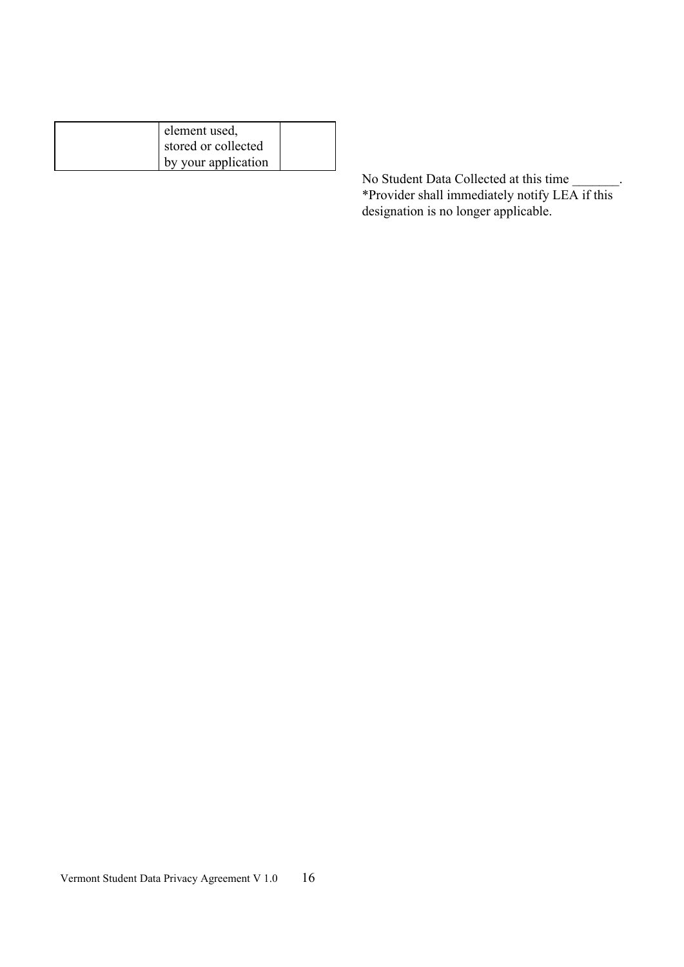| element used,       |  |
|---------------------|--|
| stored or collected |  |
| by your application |  |

No Student Data Collected at this time<br>\*Provider shall immediately notify LEA if this<br>designation is no longer applicable.  $\overline{\phantom{a}}$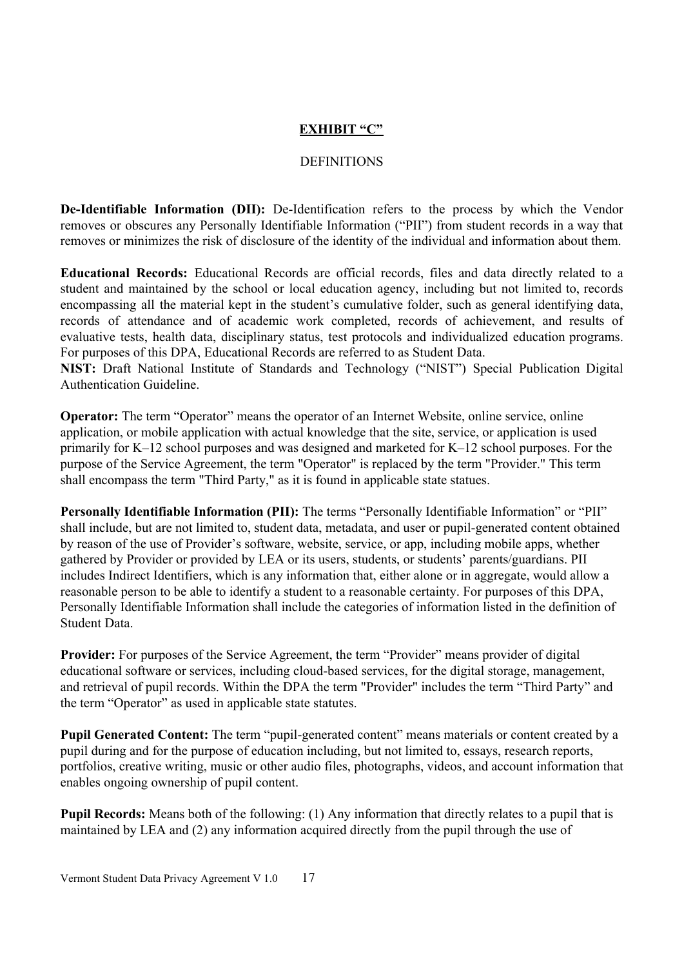### **EXHIBIT "C"**

#### **DEFINITIONS**

**De-Identifiable Information (DII):** De-Identification refers to the process by which the Vendor removes or obscures any Personally Identifiable Information ("PII") from student records in a way that removes or minimizes the risk of disclosure of the identity of the individual and information about them.

**Educational Records:** Educational Records are official records, files and data directly related to a student and maintained by the school or local education agency, including but not limited to, records encompassing all the material kept in the student's cumulative folder, such as general identifying data, records of attendance and of academic work completed, records of achievement, and results of evaluative tests, health data, disciplinary status, test protocols and individualized education programs. For purposes of this DPA, Educational Records are referred to as Student Data.

NIST: Draft National Institute of Standards and Technology ("NIST") Special Publication Digital Authentication Guideline.

**Operator:** The term "Operator" means the operator of an Internet Website, online service, online application, or mobile application with actual knowledge that the site, service, or application is used primarily for K–12 school purposes and was designed and marketed for K–12 school purposes. For the purpose of the Service Agreement, the term "Operator" is replaced by the term "Provider." This term shall encompass the term "Third Party," as it is found in applicable state statues.

Personally Identifiable Information (PII): The terms "Personally Identifiable Information" or "PII" shall include, but are not limited to, student data, metadata, and user or pupil-generated content obtained by reason of the use of Provider's software, website, service, or app, including mobile apps, whether gathered by Provider or provided by LEA or its users, students, or students' parents/guardians. PII includes Indirect Identifiers, which is any information that, either alone or in aggregate, would allow a reasonable person to be able to identify a student to a reasonable certainty. For purposes of this DPA, Personally Identifiable Information shall include the categories of information listed in the definition of Student Data.

**Provider:** For purposes of the Service Agreement, the term "Provider" means provider of digital educational software or services, including cloud-based services, for the digital storage, management, and retrieval of pupil records. Within the DPA the term "Provider" includes the term "Third Party" and the term "Operator" as used in applicable state statutes.

**Pupil Generated Content:** The term "pupil-generated content" means materials or content created by a pupil during and for the purpose of education including, but not limited to, essays, research reports, portfolios, creative writing, music or other audio files, photographs, videos, and account information that enables ongoing ownership of pupil content.

**Pupil Records:** Means both of the following: (1) Any information that directly relates to a pupil that is maintained by LEA and (2) any information acquired directly from the pupil through the use of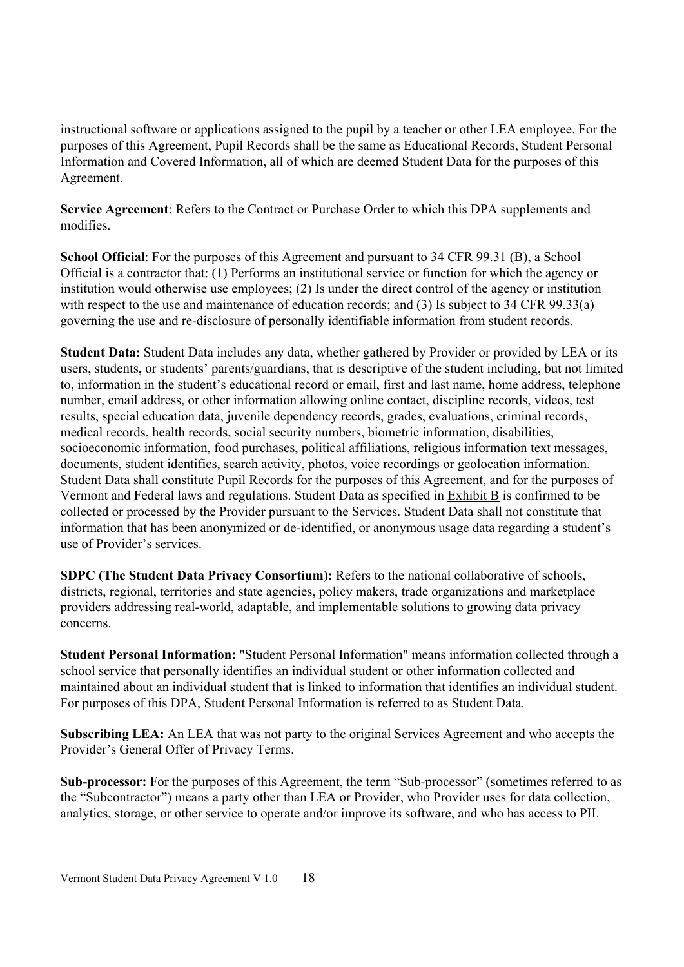instructional software or applications assigned to the pupil by a teacher or other LEA employee. For the purposes of this Agreement, Pupil Records shall be the same as Educational Records, Student Personal Information and Covered Information, all of which are deemed Student Data for the purposes of this Agreement.

Service Agreement: Refers to the Contract or Purchase Order to which this DPA supplements and modifies

**School Official:** For the purposes of this Agreement and pursuant to 34 CFR 99.31 (B), a School Official is a contractor that: (1) Performs an institutional service or function for which the agency or institution would otherwise use employees; (2) Is under the direct control of the agency or institution with respect to the use and maintenance of education records; and (3) Is subject to 34 CFR 99.33(a) governing the use and re-disclosure of personally identifiable information from student records.

Student Data: Student Data includes any data, whether gathered by Provider or provided by LEA or its users, students, or students' parents/guardians, that is descriptive of the student including, but not limited to, information in the student's educational record or email, first and last name, home address, telephone number, email address, or other information allowing online contact, discipline records, videos, test results, special education data, juvenile dependency records, grades, evaluations, criminal records, medical records, health records, social security numbers, biometric information, disabilities, socioeconomic information, food purchases, political affiliations, religious information text messages. documents, student identifies, search activity, photos, voice recordings or geolocation information. Student Data shall constitute Pupil Records for the purposes of this Agreement, and for the purposes of Vermont and Federal laws and regulations. Student Data as specified in Exhibit B is confirmed to be collected or processed by the Provider pursuant to the Services. Student Data shall not constitute that information that has been anonymized or de-identified, or anonymous usage data regarding a student's use of Provider's services.

SDPC (The Student Data Privacy Consortium): Refers to the national collaborative of schools, districts, regional, territories and state agencies, policy makers, trade organizations and marketplace providers addressing real-world, adaptable, and implementable solutions to growing data privacy concerns.

Student Personal Information: "Student Personal Information" means information collected through a school service that personally identifies an individual student or other information collected and maintained about an individual student that is linked to information that identifies an individual student. For purposes of this DPA, Student Personal Information is referred to as Student Data.

Subscribing LEA: An LEA that was not party to the original Services Agreement and who accepts the Provider's General Offer of Privacy Terms.

Sub-processor: For the purposes of this Agreement, the term "Sub-processor" (sometimes referred to as the "Subcontractor") means a party other than LEA or Provider, who Provider uses for data collection, analytics, storage, or other service to operate and/or improve its software, and who has access to PII.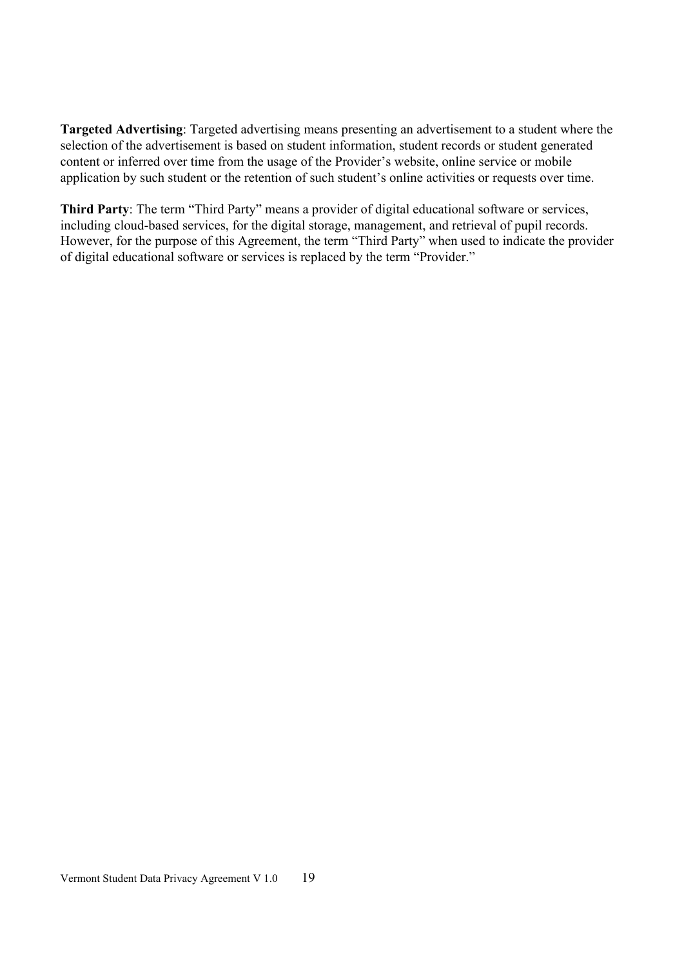Targeted Advertising: Targeted advertising means presenting an advertisement to a student where the selection of the advertisement is based on student information, student records or student generated content or inferred over time from the usage of the Provider's website, online service or mobile application by such student or the retention of such student's online activities or requests over time.

Third Party: The term "Third Party" means a provider of digital educational software or services, including cloud-based services, for the digital storage, management, and retrieval of pupil records. However, for the purpose of this Agreement, the term "Third Party" when used to indicate the provider of digital educational software or services is replaced by the term "Provider."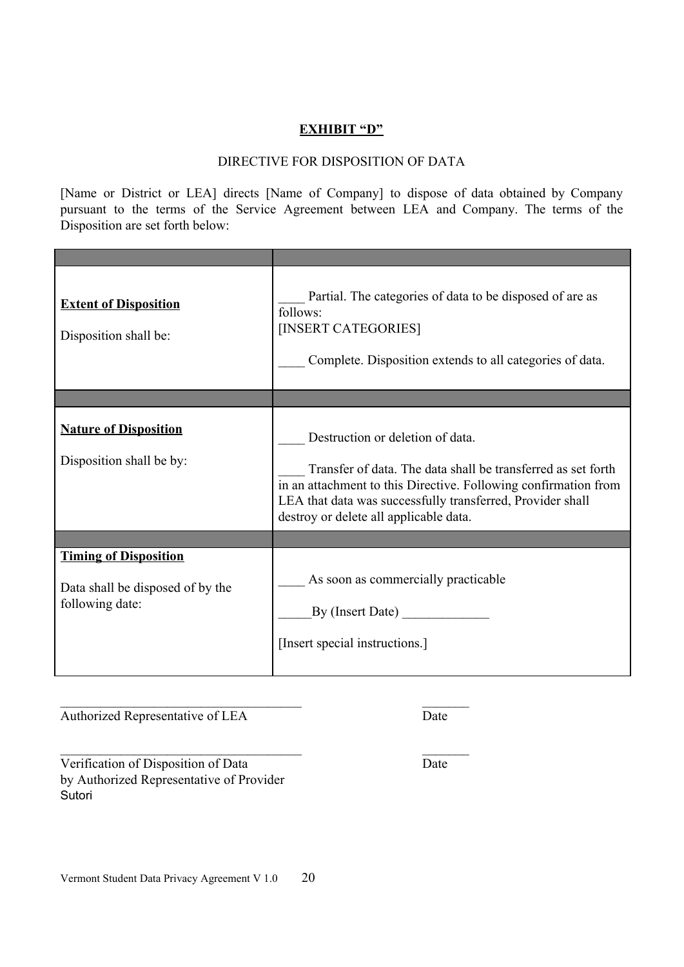### **EXHIBIT "D"**

### DIRECTIVE FOR DISPOSITION OF DATA

[Name or District or LEA] directs [Name of Company] to dispose of data obtained by Company pursuant to the terms of the Service Agreement between LEA and Company. The terms of the Disposition are set forth below:

| <b>Extent of Disposition</b><br>Disposition shall be:                               | Partial. The categories of data to be disposed of are as<br>follows:<br>[INSERT CATEGORIES]<br>Complete. Disposition extends to all categories of data.                                                                                                                     |
|-------------------------------------------------------------------------------------|-----------------------------------------------------------------------------------------------------------------------------------------------------------------------------------------------------------------------------------------------------------------------------|
|                                                                                     |                                                                                                                                                                                                                                                                             |
| <b>Nature of Disposition</b><br>Disposition shall be by:                            | Destruction or deletion of data.<br>Transfer of data. The data shall be transferred as set forth<br>in an attachment to this Directive. Following confirmation from<br>LEA that data was successfully transferred, Provider shall<br>destroy or delete all applicable data. |
|                                                                                     |                                                                                                                                                                                                                                                                             |
| <b>Timing of Disposition</b><br>Data shall be disposed of by the<br>following date: | As soon as commercially practicable<br>By (Insert Date)<br>[Insert special instructions.]                                                                                                                                                                                   |

Authorized Representative of LEA

Date

Verification of Disposition of Data by Authorized Representative of Provider Sutori

 $\overline{Date}$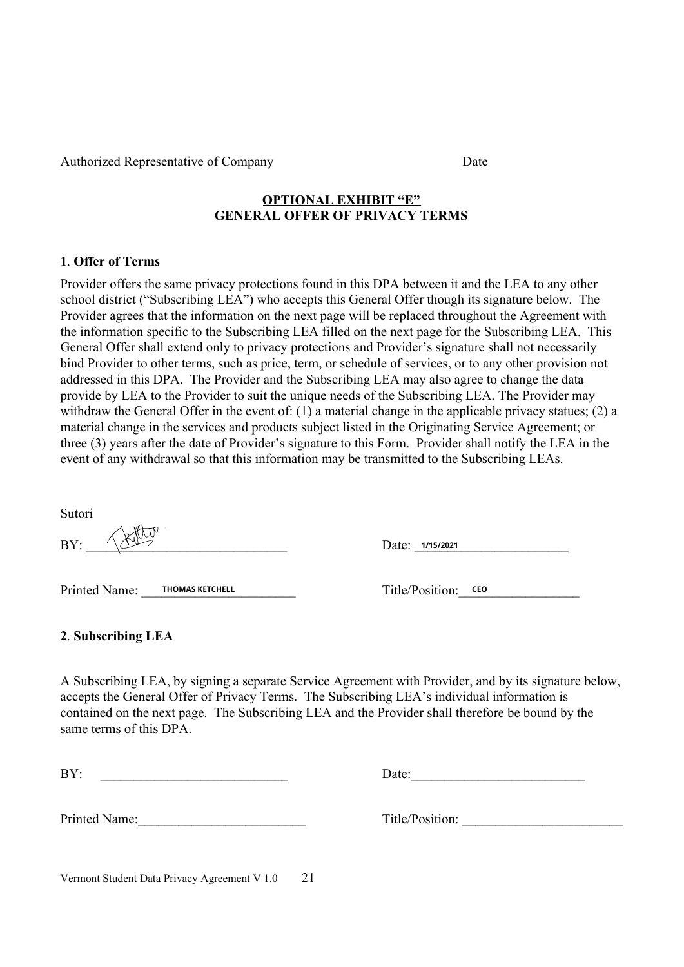Authorized Representative of Company

**OPTIONAL EXHIBIT "E" GENERAL OFFER OF PRIVACY TERMS** 

### 1 Offer of Terms

Provider offers the same privacy protections found in this DPA between it and the LEA to any other school district ("Subscribing LEA") who accepts this General Offer though its signature below. The Provider agrees that the information on the next page will be replaced throughout the Agreement with the information specific to the Subscribing LEA filled on the next page for the Subscribing LEA. This General Offer shall extend only to privacy protections and Provider's signature shall not necessarily bind Provider to other terms, such as price, term, or schedule of services, or to any other provision not addressed in this DPA. The Provider and the Subscribing LEA may also agree to change the data provide by LEA to the Provider to suit the unique needs of the Subscribing LEA. The Provider may withdraw the General Offer in the event of: (1) a material change in the applicable privacy statues; (2) a material change in the services and products subject listed in the Originating Service Agreement; or three (3) years after the date of Provider's signature to this Form. Provider shall notify the LEA in the event of any withdrawal so that this information may be transmitted to the Subscribing LEAs.

Sutori

 $BY:$ 

Printed Name: THOMAS KETCHELL

Date: 1/15/2021

Title/Position: CEO

### 2. Subscribing LEA

A Subscribing LEA, by signing a separate Service Agreement with Provider, and by its signature below, accepts the General Offer of Privacy Terms. The Subscribing LEA's individual information is contained on the next page. The Subscribing LEA and the Provider shall therefore be bound by the same terms of this DPA.

 $BY:$ 

Printed Name:

Date:

Title/Position:

21 Vermont Student Data Privacy Agreement V 1.0

Date